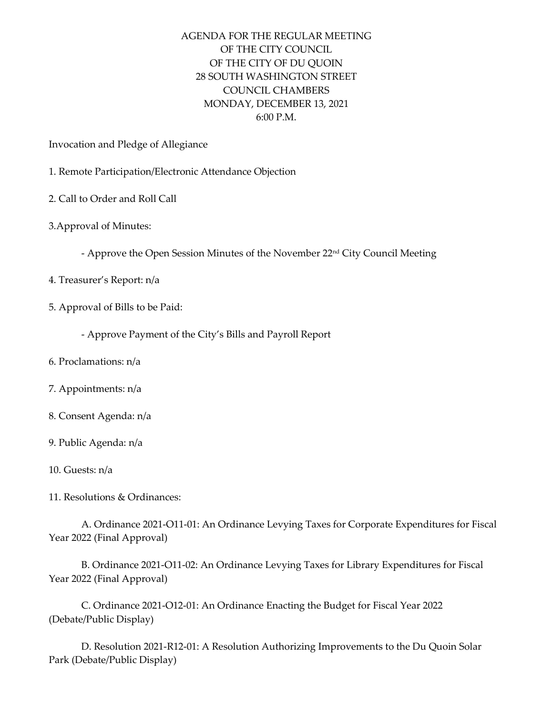## AGENDA FOR THE REGULAR MEETING OF THE CITY COUNCIL OF THE CITY OF DU QUOIN 28 SOUTH WASHINGTON STREET COUNCIL CHAMBERS MONDAY, DECEMBER 13, 2021 6:00 P.M.

Invocation and Pledge of Allegiance

- 1. Remote Participation/Electronic Attendance Objection
- 2. Call to Order and Roll Call
- 3.Approval of Minutes:
	- Approve the Open Session Minutes of the November 22nd City Council Meeting
- 4. Treasurer's Report: n/a
- 5. Approval of Bills to be Paid:
	- Approve Payment of the City's Bills and Payroll Report
- 6. Proclamations: n/a
- 7. Appointments: n/a
- 8. Consent Agenda: n/a
- 9. Public Agenda: n/a
- 10. Guests: n/a
- 11. Resolutions & Ordinances:

A. Ordinance 2021-O11-01: An Ordinance Levying Taxes for Corporate Expenditures for Fiscal Year 2022 (Final Approval)

B. Ordinance 2021-O11-02: An Ordinance Levying Taxes for Library Expenditures for Fiscal Year 2022 (Final Approval)

C. Ordinance 2021-O12-01: An Ordinance Enacting the Budget for Fiscal Year 2022 (Debate/Public Display)

D. Resolution 2021-R12-01: A Resolution Authorizing Improvements to the Du Quoin Solar Park (Debate/Public Display)